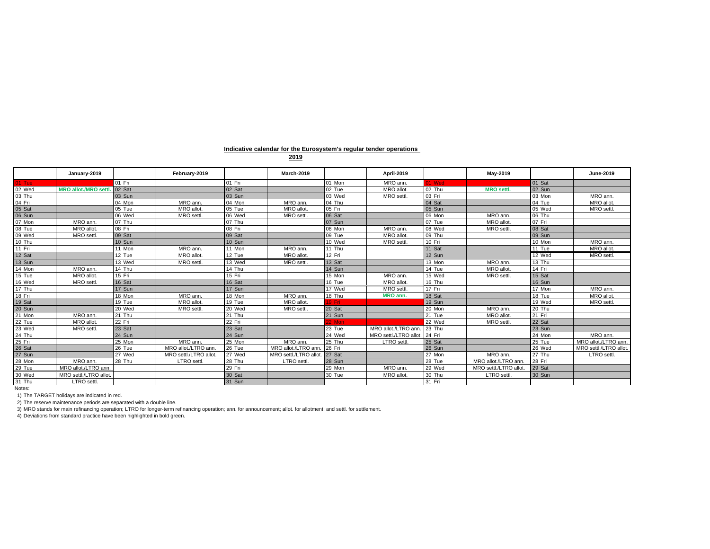## **Indicative calendar for the Eurosystem's regular tender operations**

|        | January-2019               |          | February-2019          |        | March-2019            |        | <b>April-2019</b>     |        | May-2019               |          | June-2019             |
|--------|----------------------------|----------|------------------------|--------|-----------------------|--------|-----------------------|--------|------------------------|----------|-----------------------|
| 01 Tue |                            | 01 Fri   |                        | 01 Fri |                       | 01 Mon | MRO ann.              | 01 Wed |                        | 01 Sat   |                       |
| 02 Wed | <b>MRO allot./MRO sett</b> | 02 Sat   |                        | 02 Sat |                       | 02 Tue | MRO allot.            | 02 Thu | <b>MRO</b> settl.      | 02 Sun   |                       |
| 03 Thu |                            | 03 Sun   |                        | 03 Sun |                       | 03 Wed | MRO settl.            | 03 Fri |                        | 03 Mon   | MRO ann.              |
| 04 Fri |                            | 04 Mon   | MRO ann.               | 04 Mon | MRO ann.              | 04 Thu |                       | 04 Sat |                        | $04$ Tue | MRO allot.            |
| 05 Sat |                            | 05 Tue   | MRO allot.             | 05 Tue | MRO allot.            | 05 Fri |                       | 05 Sun |                        | 05 Wed   | MRO settl.            |
| 06 Sun |                            | 06 Wed   | MRO settl.             | 06 Wed | MRO settl.            | 06 Sat |                       | 06 Mon | MRO ann                | 06 Thu   |                       |
| 07 Mon | MRO ann.                   | 07 Thu   |                        | 07 Thu |                       | 07 Sun |                       | 07 Tue | MRO allot.             | 07 Fri   |                       |
| 08 Tue | MRO allot.                 | 08 Fri   |                        | 08 Fri |                       | 08 Mon | MRO ann.              | 08 Wed | MRO settl              | 08 Sat   |                       |
| 09 Wed | MRO settl.                 | 09 Sat   |                        | 09 Sat |                       | 09 Tue | MRO allot.            | 09 Thu |                        | 09 Sun   |                       |
| 10 Thu |                            | 10 Sun   |                        | 10 Sun |                       | 10 Wed | MRO settl.            | 10 Fri |                        | 10 Mon   | MRO ann.              |
| 11 Fri |                            | 11 Mon   | MRO ann.               | 11 Mon | MRO ann.              | 11 Thu |                       | 11 Sat |                        | 11 Tue   | MRO allot.            |
| 12 Sat |                            | 12 Tue   | MRO allot.             | 12 Tue | MRO allot.            | 12 Fri |                       | 12 Sun |                        | 12 Wed   | MRO settl.            |
| 13 Sun |                            | 13 Wed   | MRO settl.             | 13 Wed | MRO settl.            | 13 Sat |                       | 13 Mon | MRO ann.               | 13 Thu   |                       |
| 14 Mon | MRO ann.                   | 14 Thu   |                        | 14 Thu |                       | 14 Sun |                       | 14 Tue | MRO allot.             | 14 Fri   |                       |
| 15 Tue | MRO allot.                 | 15 Fri   |                        | 15 Fri |                       | 15 Mon | MRO ann.              | 15 Wed | MRO settl              | 15 Sat   |                       |
| 16 Wed | MRO settl.                 | 16 Sat   |                        | 16 Sat |                       | 16 Tue | MRO allot.            | 16 Thu |                        | 16 Sun   |                       |
| 17 Thu |                            | 17 Sun   |                        | 17 Sun |                       | 17 Wed | MRO settl.            | 17 Fri |                        | 17 Mon   | MRO ann.              |
| 18 Fri |                            | 18 Mon   | MRO ann.               | 18 Mon | MRO ann.              | 18 Thu | MRO ann.              | 18 Sat |                        | 18 Tue   | MRO allot.            |
| 19 Sat |                            | 19 Tue   | MRO allot.             | 19 Tue | MRO allot.            | 19 Fri |                       | 19 Sun |                        | 19 Wed   | MRO settl.            |
| 20 Sun |                            | 20 Wed   | MRO settl.             | 20 Wed | MRO settl.            | 20 Sat |                       | 20 Mon | MRO ann.               | 20 Thu   |                       |
| 21 Mon | MRO ann.                   | $21$ Thu |                        | 21 Thu |                       | 21 Sun |                       | 21 Tue | MRO allot.             | 21 Fri   |                       |
| 22 Tue | MRO allot.                 | 22 Fri   |                        | 22 Fri |                       | 22 Mon |                       | 22 Wed | MRO settl              | 22 Sat   |                       |
| 23 Wed | MRO settl.                 | 23 Sat   |                        | 23 Sat |                       | 23 Tue | MRO allot./LTRO ann   | 23 Thu |                        | 23 Sun   |                       |
| 24 Thu |                            | 24 Sun   |                        | 24 Sun |                       | 24 Wed | MRO settl./LTRO allot | 24 Fri |                        | 24 Mon   | MRO ann.              |
| 25 Fri |                            | 25 Mon   | MRO ann.               | 25 Mon | MRO ann.              | 25 Thu | <b>LTRO</b> settl     | 25 Sat |                        | 25 Tue   | MRO allot./LTRO ann.  |
| 26 Sat |                            | 26 Tue   | MRO allot./LTRO ann.   | 26 Tue | MRO allot./LTRO ann   | 26 Fri |                       | 26 Sun |                        | 26 Wed   | MRO settl./LTRO allot |
| 27 Sun |                            | 27 Wed   | MRO settl./LTRO allot. | 27 Wed | MRO settl./LTRO allot | 27 Sat |                       | 27 Mon | MRO ann.               | 27 Thu   | LTRO settl.           |
| 28 Mon | MRO ann.                   | 28 Thu   | <b>LTRO</b> settl      | 28 Thu | LTRO settl            | 28 Sun |                       | 28 Tue | MRO allot./LTRO ann.   | 28 Fri   |                       |
| 29 Tue | MRO allot./LTRO ann        |          |                        | 29 Fri |                       | 29 Mon | MRO ann.              | 29 Wed | MRO settl./LTRO allot. | 29 Sat   |                       |
| 30 Wed | MRO settl./LTRO allot.     |          |                        | 30 Sat |                       | 30 Tue | MRO allot.            | 30 Thu | <b>LTRO</b> settl      | 30 Sun   |                       |
| 31 Thu | <b>LTRO</b> settl          |          |                        | 31 Sun |                       |        |                       | 31 Fri |                        |          |                       |
| Notes: |                            |          |                        |        |                       |        |                       |        |                        |          |                       |

1) The TARGET holidays are indicated in red.

2) The reserve maintenance periods are separated with a double line.<br>3) MRO stands for main refinancing operation; LTRO for longer-term refinancing operation; ann. for announcement; allot. for allotment; and settl. for set